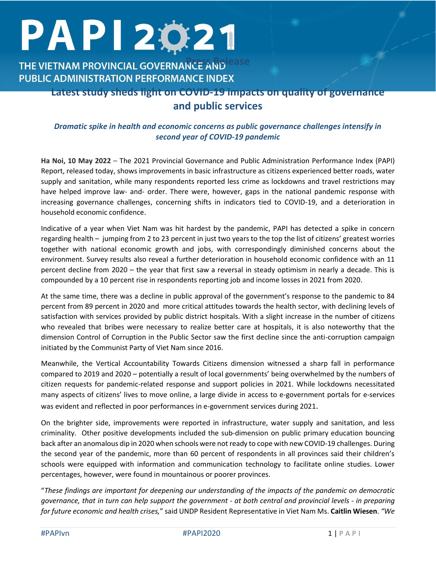# PAPI 2021

# **THE VIETNAM PROVINCIAL GOVERNANCE AND Lease PUBLIC ADMINISTRATION PERFORMANCE INDEX**

## **Latest study sheds light on COVID-19 impacts on quality of governance and public services**

### *Dramatic spike in health and economic concerns as public governance challenges intensify in second year of COVID-19 pandemic*

**Ha Noi, 10 May 2022** – The 2021 Provincial Governance and Public Administration Performance Index (PAPI) Report, released today, shows improvements in basic infrastructure as citizens experienced better roads, water supply and sanitation, while many respondents reported less crime as lockdowns and travel restrictions may have helped improve law- and- order. There were, however, gaps in the national pandemic response with increasing governance challenges, concerning shifts in indicators tied to COVID-19, and a deterioration in household economic confidence.

Indicative of a year when Viet Nam was hit hardest by the pandemic, PAPI has detected a spike in concern regarding health – jumping from 2 to 23 percent in just two years to the top the list of citizens' greatest worries together with national economic growth and jobs, with correspondingly diminished concerns about the environment. Survey results also reveal a further deterioration in household economic confidence with an 11 percent decline from 2020 – the year that first saw a reversal in steady optimism in nearly a decade. This is compounded by a 10 percent rise in respondents reporting job and income losses in 2021 from 2020.

At the same time, there was a decline in public approval of the government's response to the pandemic to 84 percent from 89 percent in 2020 and more critical attitudes towards the health sector, with declining levels of satisfaction with services provided by public district hospitals. With a slight increase in the number of citizens who revealed that bribes were necessary to realize better care at hospitals, it is also noteworthy that the dimension Control of Corruption in the Public Sector saw the first decline since the anti-corruption campaign initiated by the Communist Party of Viet Nam since 2016.

Meanwhile, the Vertical Accountability Towards Citizens dimension witnessed a sharp fall in performance compared to 2019 and 2020 – potentially a result of local governments' being overwhelmed by the numbers of citizen requests for pandemic-related response and support policies in 2021. While lockdowns necessitated many aspects of citizens' lives to move online, a large divide in access to e-government portals for e-services was evident and reflected in poor performances in e-government services during 2021.

On the brighter side, improvements were reported in infrastructure, water supply and sanitation, and less criminality. Other positive developments included the sub-dimension on public primary education bouncing back after an anomalous dip in 2020 when schools were not ready to cope with new COVID-19 challenges. During the second year of the pandemic, more than 60 percent of respondents in all provinces said their children's schools were equipped with information and communication technology to facilitate online studies. Lower percentages, however, were found in mountainous or poorer provinces.

"*These findings are important for deepening our understanding of the impacts of the pandemic on democratic governance, that in turn can help support the government - at both central and provincial levels - in preparing for future economic and health crises,*" said UNDP Resident Representative in Viet Nam Ms. **Caitlin Wiesen**. *"We*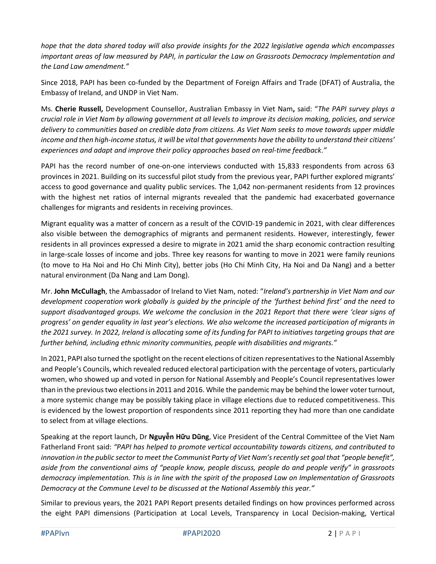*hope that the data shared today will also provide insights for the 2022 legislative agenda which encompasses important areas of law measured by PAPI, in particular the Law on Grassroots Democracy Implementation and the Land Law amendment."* 

Since 2018, PAPI has been co-funded by the Department of Foreign Affairs and Trade (DFAT) of Australia, the Embassy of Ireland, and UNDP in Viet Nam.

Ms. **Cherie Russell,** Development Counsellor, Australian Embassy in Viet Nam**,** said: "*The PAPI survey plays a crucial role in Viet Nam by allowing government at all levels to improve its decision making, policies, and service delivery to communities based on credible data from citizens. As Viet Nam seeks to move towards upper middle income and then high-income status, it will be vital that governments have the ability to understand their citizens' experiences and adapt and improve their policy approaches based on real-time feedback*.*"* 

PAPI has the record number of one-on-one interviews conducted with 15,833 respondents from across 63 provinces in 2021. Building on its successful pilot study from the previous year, PAPI further explored migrants' access to good governance and quality public services. The 1,042 non-permanent residents from 12 provinces with the highest net ratios of internal migrants revealed that the pandemic had exacerbated governance challenges for migrants and residents in receiving provinces.

Migrant equality was a matter of concern as a result of the COVID-19 pandemic in 2021, with clear differences also visible between the demographics of migrants and permanent residents. However, interestingly, fewer residents in all provinces expressed a desire to migrate in 2021 amid the sharp economic contraction resulting in large-scale losses of income and jobs. Three key reasons for wanting to move in 2021 were family reunions (to move to Ha Noi and Ho Chi Minh City), better jobs (Ho Chi Minh City, Ha Noi and Da Nang) and a better natural environment (Da Nang and Lam Dong).

Mr. **John McCullagh**, the Ambassador of Ireland to Viet Nam, noted: "*Ireland's partnership in Viet Nam and our development cooperation work globally is guided by the principle of the 'furthest behind first' and the need to support disadvantaged groups. We welcome the conclusion in the 2021 Report that there were 'clear signs of progress' on gender equality in last year's elections. We also welcome the increased participation of migrants in the 2021 survey. In 2022, Ireland is allocating some of its funding for PAPI to initiatives targeting groups that are further behind, including ethnic minority communities, people with disabilities and migrants."*

In 2021, PAPI also turned the spotlight on the recent elections of citizen representatives to the National Assembly and People's Councils, which revealed reduced electoral participation with the percentage of voters, particularly women, who showed up and voted in person for National Assembly and People's Council representatives lower than in the previous two elections in 2011 and 2016. While the pandemic may be behind the lower voter turnout, a more systemic change may be possibly taking place in village elections due to reduced competitiveness. This is evidenced by the lowest proportion of respondents since 2011 reporting they had more than one candidate to select from at village elections.

Speaking at the report launch, Dr **Nguyễn Hữu Dũng**, Vice President of the Central Committee of the Viet Nam Fatherland Front said: *"PAPI has helped to promote vertical accountability towards citizens, and contributed to innovation in the public sector to meet the Communist Party of Viet Nam's recently set goal that "people benefit", aside from the conventional aims of "people know, people discuss, people do and people verify" in grassroots democracy implementation. This is in line with the spirit of the proposed Law on Implementation of Grassroots Democracy at the Commune Level to be discussed at the National Assembly this year."*

Similar to previous years, the 2021 PAPI Report presents detailed findings on how provinces performed across the eight PAPI dimensions (Participation at Local Levels, Transparency in Local Decision-making, Vertical